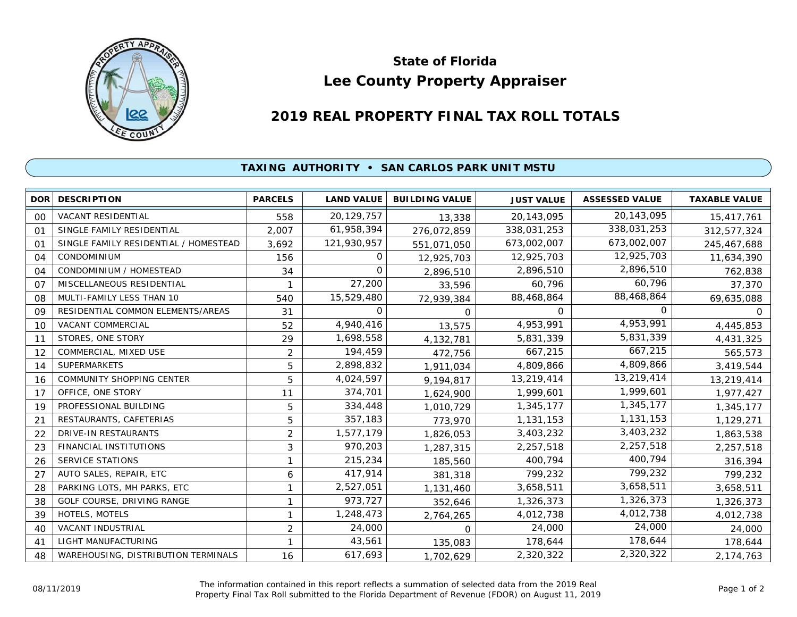

## **Lee County Property Appraiser State of Florida**

## **2019 REAL PROPERTY FINAL TAX ROLL TOTALS**

## **TAXING AUTHORITY • SAN CARLOS PARK UNIT MSTU**

| <b>DOR</b>     | <b>DESCRIPTION</b>                    | <b>PARCELS</b> | <b>LAND VALUE</b> | <b>BUILDING VALUE</b> | <b>JUST VALUE</b> | <b>ASSESSED VALUE</b> | <b>TAXABLE VALUE</b> |
|----------------|---------------------------------------|----------------|-------------------|-----------------------|-------------------|-----------------------|----------------------|
| 00             | <b>VACANT RESIDENTIAL</b>             | 558            | 20,129,757        | 13,338                | 20,143,095        | 20,143,095            | 15,417,761           |
| O <sub>1</sub> | SINGLE FAMILY RESIDENTIAL             | 2,007          | 61,958,394        | 276,072,859           | 338,031,253       | 338,031,253           | 312,577,324          |
| 01             | SINGLE FAMILY RESIDENTIAL / HOMESTEAD | 3,692          | 121,930,957       | 551,071,050           | 673,002,007       | 673,002,007           | 245,467,688          |
| 04             | <b>CONDOMINIUM</b>                    | 156            | 0                 | 12,925,703            | 12,925,703        | 12,925,703            | 11,634,390           |
| 04             | CONDOMINIUM / HOMESTEAD               | 34             | $\Omega$          | 2,896,510             | 2,896,510         | 2,896,510             | 762,838              |
| O <sub>7</sub> | MISCELLANEOUS RESIDENTIAL             | -1             | 27,200            | 33,596                | 60,796            | 60,796                | 37,370               |
| 08             | MULTI-FAMILY LESS THAN 10             | 540            | 15,529,480        | 72,939,384            | 88,468,864        | 88,468,864            | 69,635,088           |
| 09             | RESIDENTIAL COMMON ELEMENTS/AREAS     | 31             | O                 | $\Omega$              | 0                 | 0                     | $\Omega$             |
| 10             | <b>VACANT COMMERCIAL</b>              | 52             | 4,940,416         | 13,575                | 4,953,991         | 4,953,991             | 4,445,853            |
| 11             | STORES, ONE STORY                     | 29             | 1,698,558         | 4,132,781             | 5,831,339         | 5,831,339             | 4,431,325            |
| 12             | COMMERCIAL, MIXED USE                 | $\overline{2}$ | 194,459           | 472,756               | 667,215           | 667,215               | 565,573              |
| 14             | <b>SUPERMARKETS</b>                   | 5              | 2,898,832         | 1,911,034             | 4,809,866         | 4,809,866             | 3,419,544            |
| 16             | <b>COMMUNITY SHOPPING CENTER</b>      | 5              | 4,024,597         | 9,194,817             | 13,219,414        | 13,219,414            | 13,219,414           |
| 17             | OFFICE, ONE STORY                     | 11             | 374,701           | 1,624,900             | 1,999,601         | 1,999,601             | 1,977,427            |
| 19             | PROFESSIONAL BUILDING                 | 5              | 334,448           | 1,010,729             | 1,345,177         | 1,345,177             | 1,345,177            |
| 21             | RESTAURANTS, CAFETERIAS               | 5              | 357,183           | 773,970               | 1,131,153         | 1,131,153             | 1,129,271            |
| 22             | DRIVE-IN RESTAURANTS                  | $\overline{2}$ | 1,577,179         | 1,826,053             | 3,403,232         | 3,403,232             | 1,863,538            |
| 23             | <b>FINANCIAL INSTITUTIONS</b>         | 3              | 970,203           | 1,287,315             | 2,257,518         | 2,257,518             | 2,257,518            |
| 26             | <b>SERVICE STATIONS</b>               |                | 215,234           | 185,560               | 400,794           | 400,794               | 316,394              |
| 27             | AUTO SALES, REPAIR, ETC               | 6              | 417,914           | 381,318               | 799,232           | 799,232               | 799,232              |
| 28             | PARKING LOTS, MH PARKS, ETC           |                | 2,527,051         | 1,131,460             | 3,658,511         | 3,658,511             | 3,658,511            |
| 38             | GOLF COURSE, DRIVING RANGE            | 1              | 973,727           | 352,646               | 1,326,373         | 1,326,373             | 1,326,373            |
| 39             | <b>HOTELS, MOTELS</b>                 | 1              | 1,248,473         | 2,764,265             | 4,012,738         | 4,012,738             | 4,012,738            |
| 40             | <b>VACANT INDUSTRIAL</b>              | $\overline{2}$ | 24,000            | 0                     | 24,000            | 24,000                | 24,000               |
| 41             | LIGHT MANUFACTURING                   | 1              | 43,561            | 135,083               | 178,644           | 178,644               | 178,644              |
| 48             | WAREHOUSING, DISTRIBUTION TERMINALS   | 16             | 617,693           | 1,702,629             | 2,320,322         | 2,320,322             | 2,174,763            |